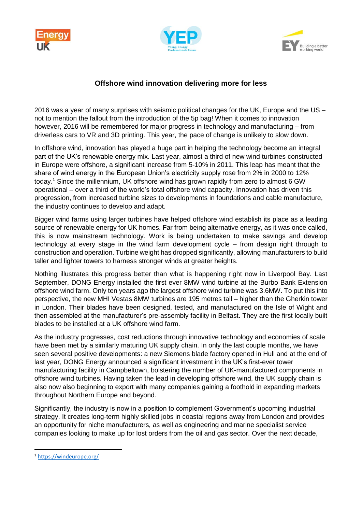





## **Offshore wind innovation delivering more for less**

2016 was a year of many surprises with seismic political changes for the UK, Europe and the US – not to mention the fallout from the introduction of the 5p bag! When it comes to innovation however, 2016 will be remembered for major progress in technology and manufacturing – from driverless cars to VR and 3D printing. This year, the pace of change is unlikely to slow down.

In offshore wind, innovation has played a huge part in helping the technology become an integral part of the UK's renewable energy mix. Last year, almost a third of new wind turbines constructed in Europe were offshore, a significant increase from 5-10% in 2011. This leap has meant that the share of wind energy in the European Union's electricity supply rose from 2% in 2000 to 12% today.<sup>1</sup> Since the millennium, UK offshore wind has grown rapidly from zero to almost 6 GW operational – over a third of the world's total offshore wind capacity. Innovation has driven this progression, from increased turbine sizes to developments in foundations and cable manufacture, the industry continues to develop and adapt.

Bigger wind farms using larger turbines have helped offshore wind establish its place as a leading source of renewable energy for UK homes. Far from being alternative energy, as it was once called, this is now mainstream technology. Work is being undertaken to make savings and develop technology at every stage in the wind farm development cycle – from design right through to construction and operation. Turbine weight has dropped significantly, allowing manufacturers to build taller and lighter towers to harness stronger winds at greater heights.

Nothing illustrates this progress better than what is happening right now in Liverpool Bay. Last September, DONG Energy installed the first ever 8MW wind turbine at the Burbo Bank Extension offshore wind farm. Only ten years ago the largest offshore wind turbine was 3.6MW. To put this into perspective, the new MHI Vestas 8MW turbines are 195 metres tall – higher than the Gherkin tower in London. Their blades have been designed, tested, and manufactured on the Isle of Wight and then assembled at the manufacturer's pre-assembly facility in Belfast. They are the first locally built blades to be installed at a UK offshore wind farm.

As the industry progresses, cost reductions through innovative technology and economies of scale have been met by a similarly maturing UK supply chain. In only the last couple months, we have seen several positive developments: a new Siemens blade factory opened in Hull and at the end of last year, DONG Energy announced a significant investment in the UK's first-ever tower manufacturing facility in Campbeltown, bolstering the number of UK-manufactured components in offshore wind turbines. Having taken the lead in developing offshore wind, the UK supply chain is also now also beginning to export with many companies gaining a foothold in expanding markets throughout Northern Europe and beyond.

Significantly, the industry is now in a position to complement Government's upcoming industrial strategy. It creates long-term highly skilled jobs in coastal regions away from London and provides an opportunity for niche manufacturers, as well as engineering and marine specialist service companies looking to make up for lost orders from the oil and gas sector. Over the next decade,

**.** 

<sup>1</sup> <https://windeurope.org/>